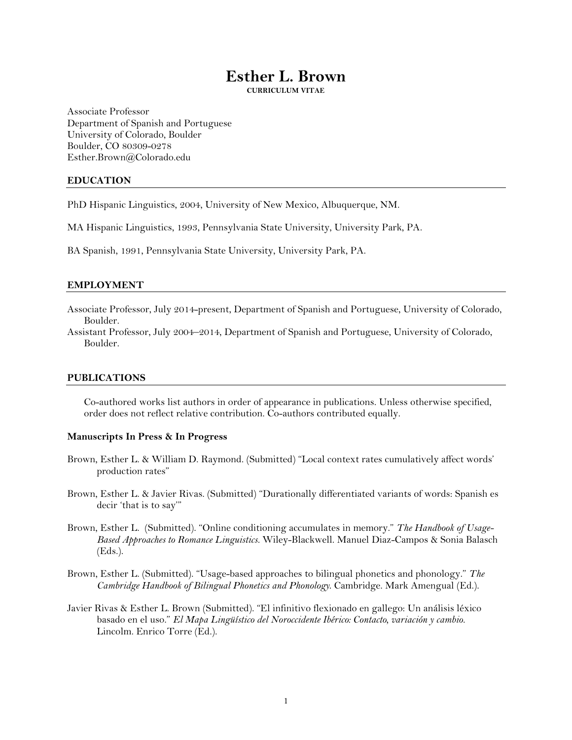# **Esther L. Brown**

**CURRICULUM VITAE**

Associate Professor Department of Spanish and Portuguese University of Colorado, Boulder Boulder, CO 80309-0278 Esther.Brown@Colorado.edu

## **EDUCATION**

PhD Hispanic Linguistics, 2004, University of New Mexico, Albuquerque, NM.

MA Hispanic Linguistics, 1993, Pennsylvania State University, University Park, PA.

BA Spanish, 1991, Pennsylvania State University, University Park, PA.

#### **EMPLOYMENT**

Associate Professor, July 2014-present, Department of Spanish and Portuguese, University of Colorado, Boulder.

Assistant Professor, July 2004–2014, Department of Spanish and Portuguese, University of Colorado, Boulder.

#### **PUBLICATIONS**

Co-authored works list authors in order of appearance in publications. Unless otherwise specified, order does not reflect relative contribution. Co-authors contributed equally.

## **Manuscripts In Press & In Progress**

- Brown, Esther L. & William D. Raymond. (Submitted) "Local context rates cumulatively affect words' production rates"
- Brown, Esther L. & Javier Rivas. (Submitted) "Durationally differentiated variants of words: Spanish es decir 'that is to say'"
- Brown, Esther L. (Submitted). "Online conditioning accumulates in memory." *The Handbook of Usage-Based Approaches to Romance Linguistics.* Wiley-Blackwell. Manuel Diaz-Campos & Sonia Balasch (Eds.).
- Brown, Esther L. (Submitted). "Usage-based approaches to bilingual phonetics and phonology." *The Cambridge Handbook of Bilingual Phonetics and Phonology*. Cambridge. Mark Amengual (Ed.).
- Javier Rivas & Esther L. Brown (Submitted). "El infinitivo flexionado en gallego: Un análisis léxico basado en el uso." *El Mapa Lingüístico del Noroccidente Ibérico: Contacto, variación y cambio.* Lincolm. Enrico Torre (Ed.).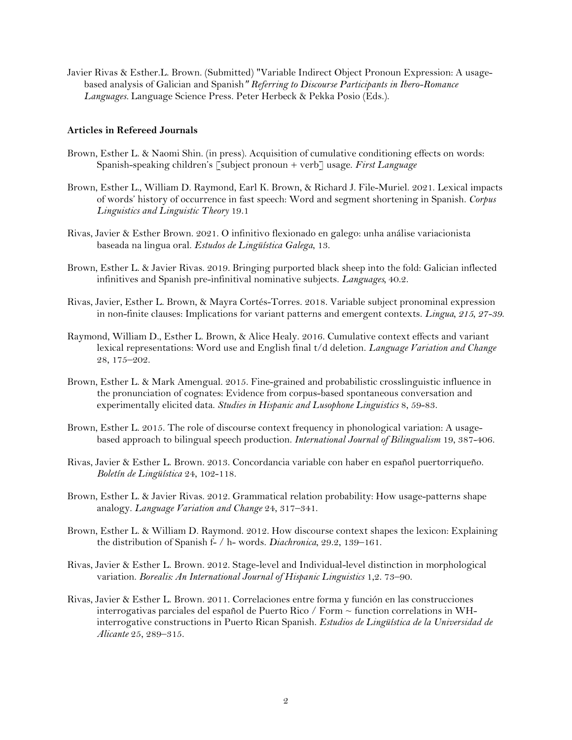Javier Rivas & Esther.L. Brown. (Submitted) "Variable Indirect Object Pronoun Expression: A usagebased analysis of Galician and Spanish*" Referring to Discourse Participants in Ibero-Romance Languages.* Language Science Press. Peter Herbeck & Pekka Posio (Eds.).

## **Articles in Refereed Journals**

- Brown, Esther L. & Naomi Shin. (in press). Acquisition of cumulative conditioning effects on words: Spanish-speaking children's [subject pronoun + verb] usage. *First Language*
- Brown, Esther L., William D. Raymond, Earl K. Brown, & Richard J. File-Muriel. 2021. Lexical impacts of words' history of occurrence in fast speech: Word and segment shortening in Spanish. *Corpus Linguistics and Linguistic Theory* 19.1
- Rivas, Javier & Esther Brown. 2021. O infinitivo flexionado en galego: unha análise variacionista baseada na lingua oral. *Estudos de Lingüística Galega*, 13.
- Brown, Esther L. & Javier Rivas. 2019. Bringing purported black sheep into the fold: Galician inflected infinitives and Spanish pre-infinitival nominative subjects. *Languages,* 40.2.
- Rivas, Javier, Esther L. Brown, & Mayra Cortés-Torres. 2018. Variable subject pronominal expression in non-finite clauses: Implications for variant patterns and emergent contexts. *Lingua, 215, 27-39*.
- Raymond, William D., Esther L. Brown, & Alice Healy. 2016. Cumulative context effects and variant lexical representations: Word use and English final t/d deletion. *Language Variation and Change* 28, 175–202.
- Brown, Esther L. & Mark Amengual. 2015. Fine-grained and probabilistic crosslinguistic influence in the pronunciation of cognates: Evidence from corpus-based spontaneous conversation and experimentally elicited data. *Studies in Hispanic and Lusophone Linguistics* 8, 59-83.
- Brown, Esther L. 2015. The role of discourse context frequency in phonological variation: A usagebased approach to bilingual speech production. *International Journal of Bilingualism* 19, 387-406.
- Rivas, Javier & Esther L. Brown. 2013. Concordancia variable con haber en español puertorriqueño. *Boletín de Lingüística* 24, 102-118.
- Brown, Esther L. & Javier Rivas. 2012. Grammatical relation probability: How usage-patterns shape analogy. *Language Variation and Change* 24, 317–341.
- Brown, Esther L. & William D. Raymond. 2012. How discourse context shapes the lexicon: Explaining the distribution of Spanish f- / h- words. *Diachronica*, 29.2, 139–161.
- Rivas, Javier & Esther L. Brown. 2012. Stage-level and Individual-level distinction in morphological variation. *Borealis: An International Journal of Hispanic Linguistics* 1,2. 73–90.
- Rivas, Javier & Esther L. Brown. 2011. Correlaciones entre forma y función en las construcciones interrogativas parciales del español de Puerto Rico / Form ~ function correlations in WHinterrogative constructions in Puerto Rican Spanish. *Estudios de Lingüística de la Universidad de Alicante* 25, 289–315.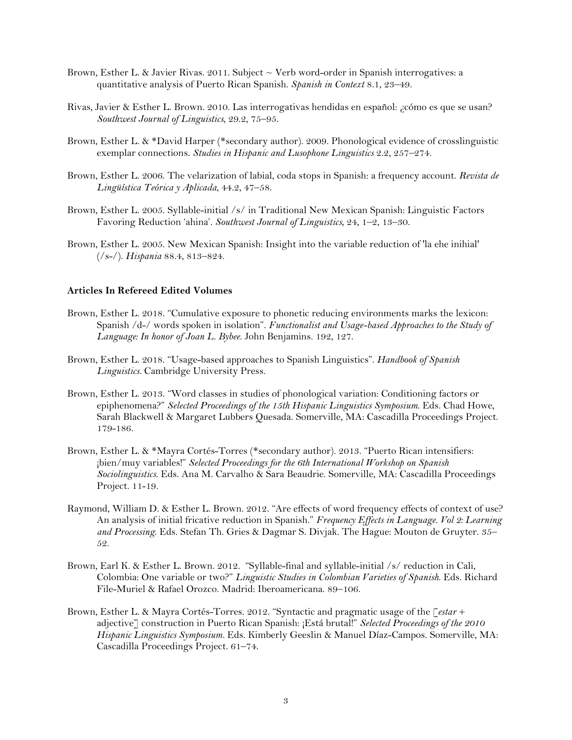- Brown, Esther L. & Javier Rivas. 2011. Subject ~ Verb word-order in Spanish interrogatives: a quantitative analysis of Puerto Rican Spanish. *Spanish in Context* 8.1, 23–49.
- Rivas, Javier & Esther L. Brown. 2010. Las interrogativas hendidas en español: ¿cómo es que se usan? *Southwest Journal of Linguistics*, 29.2, 75–95.
- Brown, Esther L. & \*David Harper (\*secondary author). 2009. Phonological evidence of crosslinguistic exemplar connections. *Studies in Hispanic and Lusophone Linguistics* 2.2, 257–274.
- Brown, Esther L. 2006. The velarization of labial, coda stops in Spanish: a frequency account. *Revista de Lingüística Teórica y Aplicada*, 44.2, 47–58.
- Brown, Esther L. 2005. Syllable-initial /s/ in Traditional New Mexican Spanish: Linguistic Factors Favoring Reduction 'ahina'. *Southwest Journal of Linguistics*, 24, 1–2, 13–30.
- Brown, Esther L. 2005. New Mexican Spanish: Insight into the variable reduction of 'la ehe inihial' (/s-/). *Hispania* 88.4, 813–824.

#### **Articles In Refereed Edited Volumes**

- Brown, Esther L. 2018. "Cumulative exposure to phonetic reducing environments marks the lexicon: Spanish /d-/ words spoken in isolation". *Functionalist and Usage-based Approaches to the Study of Language: In honor of Joan L. Bybee*. John Benjamins. 192, 127.
- Brown, Esther L. 2018. "Usage-based approaches to Spanish Linguistics". *Handbook of Spanish Linguistics.* Cambridge University Press.
- Brown, Esther L. 2013. "Word classes in studies of phonological variation: Conditioning factors or epiphenomena?" *Selected Proceedings of the 15th Hispanic Linguistics Symposium*. Eds. Chad Howe, Sarah Blackwell & Margaret Lubbers Quesada. Somerville, MA: Cascadilla Proceedings Project. 179-186.
- Brown, Esther L. & \*Mayra Cortés-Torres (\*secondary author). 2013. "Puerto Rican intensifiers: ¡bien/muy variables!" *Selected Proceedings for the 6th International Workshop on Spanish Sociolinguistics*. Eds. Ana M. Carvalho & Sara Beaudrie. Somerville, MA: Cascadilla Proceedings Project. 11-19.
- Raymond, William D. & Esther L. Brown. 2012. "Are effects of word frequency effects of context of use? An analysis of initial fricative reduction in Spanish." *Frequency Effects in Language. Vol 2: Learning and Processing*. Eds. Stefan Th. Gries & Dagmar S. Divjak. The Hague: Mouton de Gruyter. 35– 52.
- Brown, Earl K. & Esther L. Brown. 2012. "Syllable-final and syllable-initial /s/ reduction in Cali, Colombia: One variable or two?" *Linguistic Studies in Colombian Varieties of Spanish*. Eds. Richard File-Muriel & Rafael Orozco. Madrid: Iberoamericana. 89–106.
- Brown, Esther L. & Mayra Cortés-Torres. 2012. "Syntactic and pragmatic usage of the [*estar* + adjective] construction in Puerto Rican Spanish: ¡Está brutal!" *Selected Proceedings of the 2010 Hispanic Linguistics Symposium.* Eds. Kimberly Geeslin & Manuel Díaz-Campos. Somerville, MA: Cascadilla Proceedings Project. 61–74.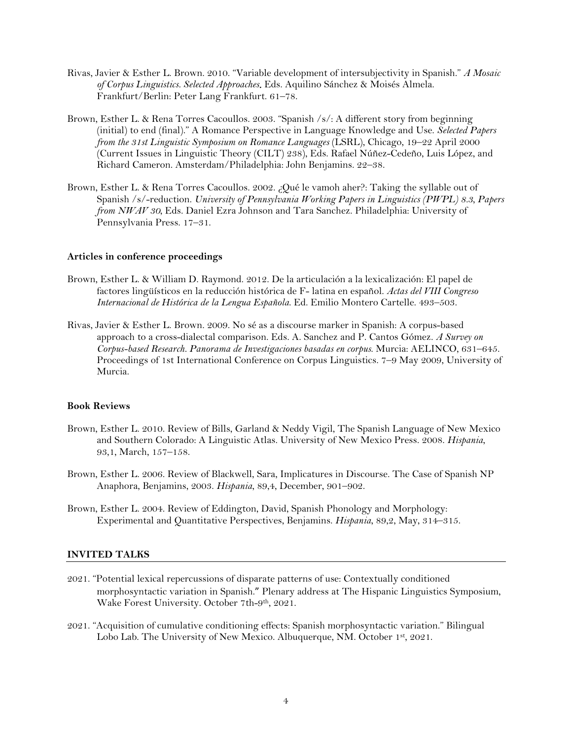- Rivas, Javier & Esther L. Brown. 2010. "Variable development of intersubjectivity in Spanish." *A Mosaic of Corpus Linguistics. Selected Approaches*. Eds. Aquilino Sánchez & Moisés Almela. Frankfurt/Berlin: Peter Lang Frankfurt. 61–78.
- Brown, Esther L. & Rena Torres Cacoullos. 2003. "Spanish /s/: A different story from beginning (initial) to end (final)." A Romance Perspective in Language Knowledge and Use. *Selected Papers from the 31st Linguistic Symposium on Romance Languages* (LSRL), Chicago, 19–22 April 2000 (Current Issues in Linguistic Theory (CILT) 238), Eds. Rafael Núñez-Cedeño, Luis López, and Richard Cameron. Amsterdam/Philadelphia: John Benjamins. 22–38.
- Brown, Esther L. & Rena Torres Cacoullos. 2002. ¿Qué le vamoh aher?: Taking the syllable out of Spanish /s/-reduction. *University of Pennsylvania Working Papers in Linguistics (PWPL) 8.3, Papers from NWAV 30*, Eds. Daniel Ezra Johnson and Tara Sanchez. Philadelphia: University of Pennsylvania Press. 17–31.

# **Articles in conference proceedings**

- Brown, Esther L. & William D. Raymond. 2012. De la articulación a la lexicalización: El papel de factores lingüísticos en la reducción histórica de F- latina en español. *Actas del VIII Congreso Internacional de Histórica de la Lengua Española*. Ed. Emilio Montero Cartelle. 493–503.
- Rivas, Javier & Esther L. Brown. 2009. No sé as a discourse marker in Spanish: A corpus-based approach to a cross-dialectal comparison. Eds. A. Sanchez and P. Cantos Gómez. *A Survey on Corpus-based Research. Panorama de Investigaciones basadas en corpus*. Murcia: AELINCO, 631–645. Proceedings of 1st International Conference on Corpus Linguistics. 7–9 May 2009, University of Murcia.

# **Book Reviews**

- Brown, Esther L. 2010. Review of Bills, Garland & Neddy Vigil, The Spanish Language of New Mexico and Southern Colorado: A Linguistic Atlas. University of New Mexico Press. 2008. *Hispania*, 93,1, March, 157–158.
- Brown, Esther L. 2006. Review of Blackwell, Sara, Implicatures in Discourse. The Case of Spanish NP Anaphora, Benjamins, 2003. *Hispania*, 89,4, December, 901–902.
- Brown, Esther L. 2004. Review of Eddington, David, Spanish Phonology and Morphology: Experimental and Quantitative Perspectives, Benjamins. *Hispania*, 89,2, May, 314–315.

## **INVITED TALKS**

- 2021. "Potential lexical repercussions of disparate patterns of use: Contextually conditioned morphosyntactic variation in Spanish." Plenary address at The Hispanic Linguistics Symposium, Wake Forest University. October 7th-9th, 2021.
- 2021. "Acquisition of cumulative conditioning effects: Spanish morphosyntactic variation." Bilingual Lobo Lab. The University of New Mexico. Albuquerque, NM. October 1st, 2021.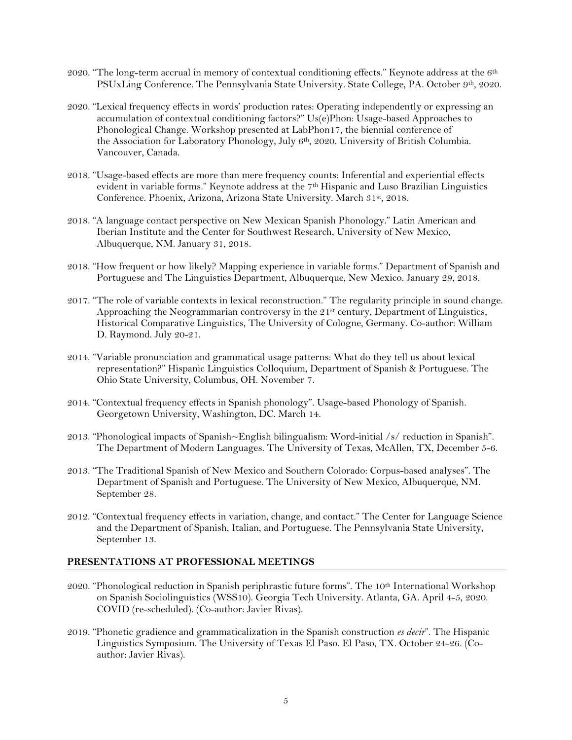- 2020. "The long-term accrual in memory of contextual conditioning effects." Keynote address at the  $6<sup>th</sup>$ PSUxLing Conference. The Pennsylvania State University. State College, PA. October 9th, 2020.
- 2020. "Lexical frequency effects in words' production rates: Operating independently or expressing an accumulation of contextual conditioning factors?" Us(e)Phon: Usage-based Approaches to Phonological Change. Workshop presented at LabPhon17, the biennial conference of the [Association for Laboratory Phonology,](https://labphon.org/) July 6th, 2020. University of British Columbia. Vancouver, Canada.
- 2018. "Usage-based effects are more than mere frequency counts: Inferential and experiential effects evident in variable forms." Keynote address at the  $7<sup>th</sup>$  Hispanic and Luso Brazilian Linguistics Conference. Phoenix, Arizona, Arizona State University. March 31st, 2018.
- 2018. "A language contact perspective on New Mexican Spanish Phonology." Latin American and Iberian Institute and the Center for Southwest Research, University of New Mexico, Albuquerque, NM. January 31, 2018.
- 2018. "How frequent or how likely? Mapping experience in variable forms." Department of Spanish and Portuguese and The Linguistics Department, Albuquerque, New Mexico. January 29, 2018.
- 2017. "The role of variable contexts in lexical reconstruction." The regularity principle in sound change. Approaching the Neogrammarian controversy in the 21<sup>st</sup> century, Department of Linguistics, Historical Comparative Linguistics, The University of Cologne, Germany. Co-author: William D. Raymond. July 20-21.
- 2014. "Variable pronunciation and grammatical usage patterns: What do they tell us about lexical representation?" Hispanic Linguistics Colloquium, Department of Spanish & Portuguese. The Ohio State University, Columbus, OH. November 7.
- 2014. "Contextual frequency effects in Spanish phonology". Usage-based Phonology of Spanish. Georgetown University, Washington, DC. March 14.
- 2013. "Phonological impacts of Spanish~English bilingualism: Word-initial /s/ reduction in Spanish". The Department of Modern Languages. The University of Texas, McAllen, TX, December 5-6.
- 2013. "The Traditional Spanish of New Mexico and Southern Colorado: Corpus-based analyses". The Department of Spanish and Portuguese. The University of New Mexico, Albuquerque, NM. September 28.
- 2012. "Contextual frequency effects in variation, change, and contact." The Center for Language Science and the Department of Spanish, Italian, and Portuguese. The Pennsylvania State University, September 13.

# **PRESENTATIONS AT PROFESSIONAL MEETINGS**

- 2020. "Phonological reduction in Spanish periphrastic future forms". The 10<sup>th</sup> International Workshop on Spanish Sociolinguistics (WSS10). Georgia Tech University. Atlanta, GA. April 4-5, 2020. COVID (re-scheduled). (Co-author: Javier Rivas).
- 2019. "Phonetic gradience and grammaticalization in the Spanish construction *es decir*". The Hispanic Linguistics Symposium. The University of Texas El Paso. El Paso, TX. October 24-26. (Coauthor: Javier Rivas).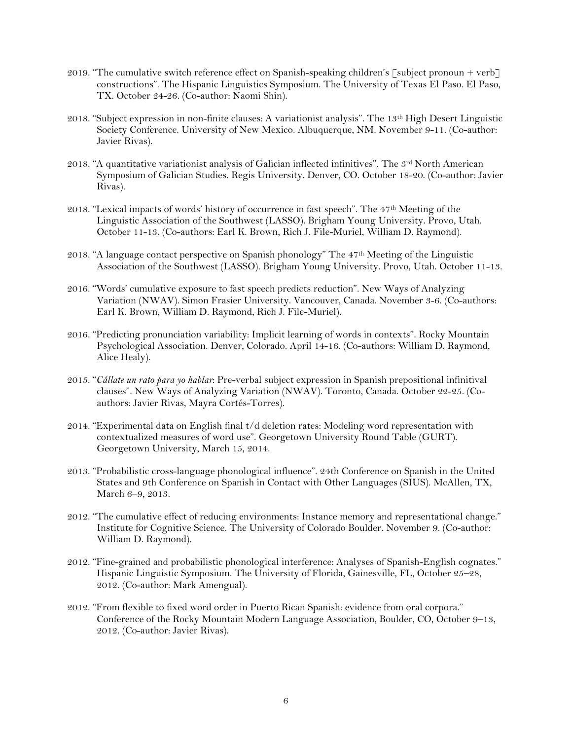- 2019. "The cumulative switch reference effect on Spanish-speaking children's [subject pronoun + verb] constructions". The Hispanic Linguistics Symposium. The University of Texas El Paso. El Paso, TX. October 24-26. (Co-author: Naomi Shin).
- 2018. "Subject expression in non-finite clauses: A variationist analysis". The 13th High Desert Linguistic Society Conference. University of New Mexico. Albuquerque, NM. November 9-11. (Co-author: Javier Rivas).
- 2018. "A quantitative variationist analysis of Galician inflected infinitives". The 3rd North American Symposium of Galician Studies. Regis University. Denver, CO. October 18-20. (Co-author: Javier Rivas).
- 2018. "Lexical impacts of words' history of occurrence in fast speech". The 47th Meeting of the Linguistic Association of the Southwest (LASSO). Brigham Young University. Provo, Utah. October 11-13. (Co-authors: Earl K. Brown, Rich J. File-Muriel, William D. Raymond).
- 2018. "A language contact perspective on Spanish phonology" The 47th Meeting of the Linguistic Association of the Southwest (LASSO). Brigham Young University. Provo, Utah. October 11-13.
- 2016. "Words' cumulative exposure to fast speech predicts reduction". New Ways of Analyzing Variation (NWAV). Simon Frasier University. Vancouver, Canada. November 3-6. (Co-authors: Earl K. Brown, William D. Raymond, Rich J. File-Muriel).
- 2016. "Predicting pronunciation variability: Implicit learning of words in contexts". Rocky Mountain Psychological Association. Denver, Colorado. April 14-16. (Co-authors: William D. Raymond, Alice Healy).
- 2015. "*Cállate un rato para yo hablar*: Pre-verbal subject expression in Spanish prepositional infinitival clauses". New Ways of Analyzing Variation (NWAV). Toronto, Canada. October 22-25. (Coauthors: Javier Rivas, Mayra Cortés-Torres).
- 2014. "Experimental data on English final t/d deletion rates: Modeling word representation with contextualized measures of word use". Georgetown University Round Table (GURT). Georgetown University, March 15, 2014.
- 2013. "Probabilistic cross-language phonological influence". 24th Conference on Spanish in the United States and 9th Conference on Spanish in Contact with Other Languages (SIUS). McAllen, TX, March 6–9, 2013.
- 2012. "The cumulative effect of reducing environments: Instance memory and representational change." Institute for Cognitive Science. The University of Colorado Boulder. November 9. (Co-author: William D. Raymond).
- 2012. "Fine-grained and probabilistic phonological interference: Analyses of Spanish-English cognates." Hispanic Linguistic Symposium. The University of Florida, Gainesville, FL, October 25–28, 2012. (Co-author: Mark Amengual).
- 2012. "From flexible to fixed word order in Puerto Rican Spanish: evidence from oral corpora." Conference of the Rocky Mountain Modern Language Association, Boulder, CO, October 9–13, 2012. (Co-author: Javier Rivas).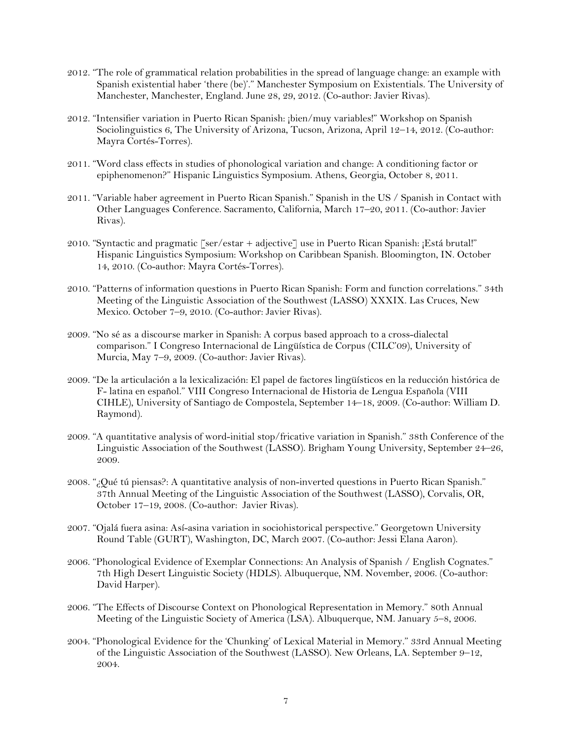- 2012. "The role of grammatical relation probabilities in the spread of language change: an example with Spanish existential haber 'there (be)'." Manchester Symposium on Existentials. The University of Manchester, Manchester, England. June 28, 29, 2012. (Co-author: Javier Rivas).
- 2012. "Intensifier variation in Puerto Rican Spanish: ¡bien/muy variables!" Workshop on Spanish Sociolinguistics 6, The University of Arizona, Tucson, Arizona, April 12–14, 2012. (Co-author: Mayra Cortés-Torres).
- 2011. "Word class effects in studies of phonological variation and change: A conditioning factor or epiphenomenon?" Hispanic Linguistics Symposium. Athens, Georgia, October 8, 2011.
- 2011. "Variable haber agreement in Puerto Rican Spanish." Spanish in the US / Spanish in Contact with Other Languages Conference. Sacramento, California, March 17–20, 2011. (Co-author: Javier Rivas).
- 2010. "Syntactic and pragmatic  $\lceil \text{ser/estar} + \text{adjective} \rceil$  use in Puerto Rican Spanish: ¡Está brutal!" Hispanic Linguistics Symposium: Workshop on Caribbean Spanish. Bloomington, IN. October 14, 2010. (Co-author: Mayra Cortés-Torres).
- 2010. "Patterns of information questions in Puerto Rican Spanish: Form and function correlations." 34th Meeting of the Linguistic Association of the Southwest (LASSO) XXXIX. Las Cruces, New Mexico. October 7–9, 2010. (Co-author: Javier Rivas).
- 2009. "No sé as a discourse marker in Spanish: A corpus based approach to a cross-dialectal comparison." I Congreso Internacional de Lingüística de Corpus (CILC'09), University of Murcia, May 7–9, 2009. (Co-author: Javier Rivas).
- 2009. "De la articulación a la lexicalización: El papel de factores lingüísticos en la reducción histórica de F- latina en español." VIII Congreso Internacional de Historia de Lengua Española (VIII CIHLE), University of Santiago de Compostela, September 14–18, 2009. (Co-author: William D. Raymond).
- 2009. "A quantitative analysis of word-initial stop/fricative variation in Spanish." 38th Conference of the Linguistic Association of the Southwest (LASSO). Brigham Young University, September 24–26, 2009.
- 2008. "¿Qué tú piensas?: A quantitative analysis of non-inverted questions in Puerto Rican Spanish." 37th Annual Meeting of the Linguistic Association of the Southwest (LASSO), Corvalis, OR, October 17–19, 2008. (Co-author: Javier Rivas).
- 2007. "Ojalá fuera asina: Así-asina variation in sociohistorical perspective." Georgetown University Round Table (GURT), Washington, DC, March 2007. (Co-author: Jessi Elana Aaron).
- 2006. "Phonological Evidence of Exemplar Connections: An Analysis of Spanish / English Cognates." 7th High Desert Linguistic Society (HDLS). Albuquerque, NM. November, 2006. (Co-author: David Harper).
- 2006. "The Effects of Discourse Context on Phonological Representation in Memory." 80th Annual Meeting of the Linguistic Society of America (LSA). Albuquerque, NM. January 5–8, 2006.
- 2004. "Phonological Evidence for the 'Chunking' of Lexical Material in Memory." 33rd Annual Meeting of the Linguistic Association of the Southwest (LASSO). New Orleans, LA. September 9–12, 2004.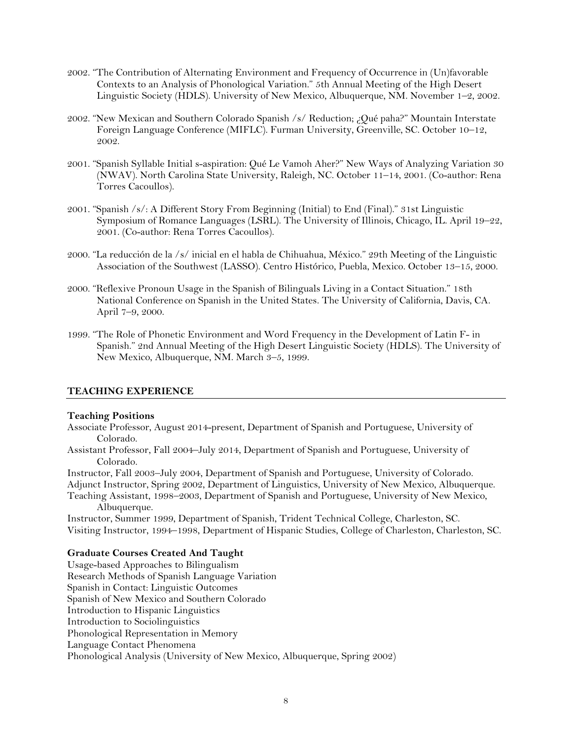- 2002. "The Contribution of Alternating Environment and Frequency of Occurrence in (Un)favorable Contexts to an Analysis of Phonological Variation." 5th Annual Meeting of the High Desert Linguistic Society (HDLS). University of New Mexico, Albuquerque, NM. November 1–2, 2002.
- 2002. "New Mexican and Southern Colorado Spanish /s/ Reduction; ¿Qué paha?" Mountain Interstate Foreign Language Conference (MIFLC). Furman University, Greenville, SC. October 10–12, 2002.
- 2001. "Spanish Syllable Initial s-aspiration: Qué Le Vamoh Aher?" New Ways of Analyzing Variation 30 (NWAV). North Carolina State University, Raleigh, NC. October 11–14, 2001. (Co-author: Rena Torres Cacoullos).
- 2001. "Spanish /s/: A Different Story From Beginning (Initial) to End (Final)." 31st Linguistic Symposium of Romance Languages (LSRL). The University of Illinois, Chicago, IL. April 19–22, 2001. (Co-author: Rena Torres Cacoullos).
- 2000. "La reducción de la /s/ inicial en el habla de Chihuahua, México." 29th Meeting of the Linguistic Association of the Southwest (LASSO). Centro Histórico, Puebla, Mexico. October 13–15, 2000.
- 2000. "Reflexive Pronoun Usage in the Spanish of Bilinguals Living in a Contact Situation." 18th National Conference on Spanish in the United States. The University of California, Davis, CA. April 7–9, 2000.
- 1999. "The Role of Phonetic Environment and Word Frequency in the Development of Latin F- in Spanish." 2nd Annual Meeting of the High Desert Linguistic Society (HDLS). The University of New Mexico, Albuquerque, NM. March 3–5, 1999.

# **TEACHING EXPERIENCE**

#### **Teaching Positions**

- Associate Professor, August 2014-present, Department of Spanish and Portuguese, University of Colorado.
- Assistant Professor, Fall 2004–July 2014, Department of Spanish and Portuguese, University of Colorado.

Instructor, Fall 2003–July 2004, Department of Spanish and Portuguese, University of Colorado. Adjunct Instructor, Spring 2002, Department of Linguistics, University of New Mexico, Albuquerque. Teaching Assistant, 1998–2003, Department of Spanish and Portuguese, University of New Mexico,

Albuquerque.

Instructor, Summer 1999, Department of Spanish, Trident Technical College, Charleston, SC. Visiting Instructor, 1994–1998, Department of Hispanic Studies, College of Charleston, Charleston, SC.

# **Graduate Courses Created And Taught**

Usage-based Approaches to Bilingualism Research Methods of Spanish Language Variation Spanish in Contact: Linguistic Outcomes Spanish of New Mexico and Southern Colorado Introduction to Hispanic Linguistics Introduction to Sociolinguistics Phonological Representation in Memory Language Contact Phenomena Phonological Analysis (University of New Mexico, Albuquerque, Spring 2002)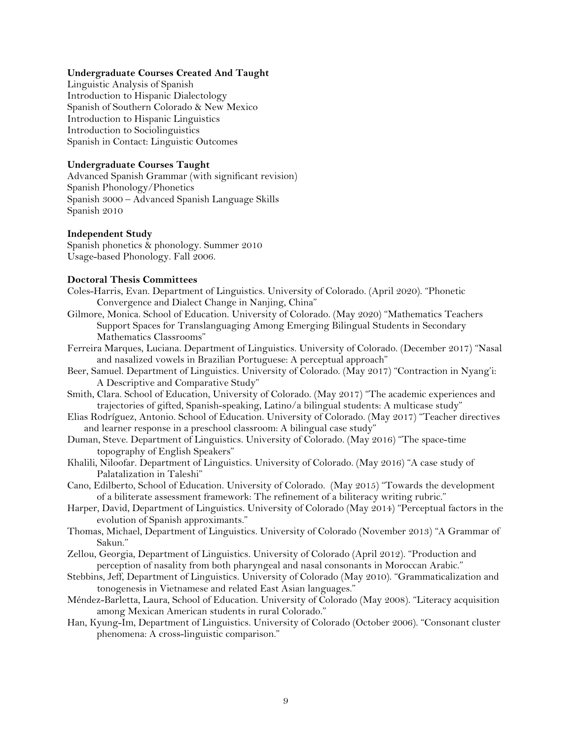## **Undergraduate Courses Created And Taught**

Linguistic Analysis of Spanish Introduction to Hispanic Dialectology Spanish of Southern Colorado & New Mexico Introduction to Hispanic Linguistics Introduction to Sociolinguistics Spanish in Contact: Linguistic Outcomes

# **Undergraduate Courses Taught**

Advanced Spanish Grammar (with significant revision) Spanish Phonology/Phonetics Spanish 3000 – Advanced Spanish Language Skills Spanish 2010

## **Independent Study**

Spanish phonetics & phonology. Summer 2010 Usage-based Phonology. Fall 2006.

# **Doctoral Thesis Committees**

- Coles-Harris, Evan. Department of Linguistics. University of Colorado. (April 2020). "Phonetic Convergence and Dialect Change in Nanjing, China"
- Gilmore, Monica. School of Education. University of Colorado. (May 2020) "Mathematics Teachers Support Spaces for Translanguaging Among Emerging Bilingual Students in Secondary Mathematics Classrooms"
- Ferreira Marques, Luciana. Department of Linguistics. University of Colorado. (December 2017) "Nasal and nasalized vowels in Brazilian Portuguese: A perceptual approach"
- Beer, Samuel. Department of Linguistics. University of Colorado. (May 2017) "Contraction in Nyang'i: A Descriptive and Comparative Study"
- Smith, Clara. School of Education, University of Colorado. (May 2017) "The academic experiences and trajectories of gifted, Spanish-speaking, Latino/a bilingual students: A multicase study"
- Elias Rodríguez, Antonio. School of Education. University of Colorado. (May 2017) "Teacher directives and learner response in a preschool classroom: A bilingual case study"
- Duman, Steve. Department of Linguistics. University of Colorado. (May 2016) "The space-time topography of English Speakers"
- Khalili, Niloofar. Department of Linguistics. University of Colorado. (May 2016) "A case study of Palatalization in Taleshi"
- Cano, Edilberto, School of Education. University of Colorado. (May 2015) "Towards the development of a biliterate assessment framework: The refinement of a biliteracy writing rubric."
- Harper, David, Department of Linguistics. University of Colorado (May 2014) "Perceptual factors in the evolution of Spanish approximants."
- Thomas, Michael, Department of Linguistics. University of Colorado (November 2013) "A Grammar of Sakun."
- Zellou, Georgia, Department of Linguistics. University of Colorado (April 2012). "Production and perception of nasality from both pharyngeal and nasal consonants in Moroccan Arabic."
- Stebbins, Jeff, Department of Linguistics. University of Colorado (May 2010). "Grammaticalization and tonogenesis in Vietnamese and related East Asian languages."
- Méndez-Barletta, Laura, School of Education. University of Colorado (May 2008). "Literacy acquisition among Mexican American students in rural Colorado."
- Han, Kyung-Im, Department of Linguistics. University of Colorado (October 2006). "Consonant cluster phenomena: A cross-linguistic comparison."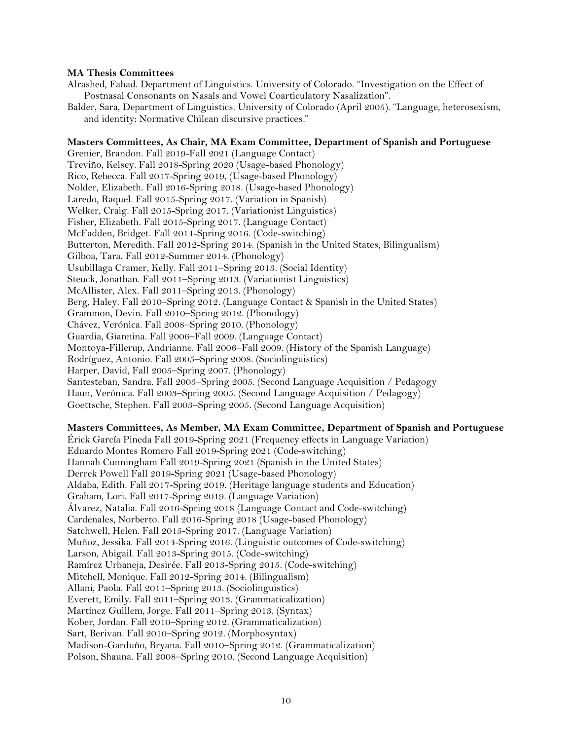## **MA Thesis Committees**

Alrashed, Fahad. Department of Linguistics. University of Colorado. "Investigation on the Effect of Postnasal Consonants on Nasals and Vowel Coarticulatory Nasalization".

Balder, Sara, Department of Linguistics. University of Colorado (April 2005). "Language, heterosexism, and identity: Normative Chilean discursive practices*.*"

## **Masters Committees, As Chair, MA Exam Committee, Department of Spanish and Portuguese**

Grenier, Brandon. Fall 2019-Fall 2021 (Language Contact) Treviño, Kelsey. Fall 2018-Spring 2020 (Usage-based Phonology) Rico, Rebecca. Fall 2017-Spring 2019, (Usage-based Phonology) Nolder, Elizabeth. Fall 2016-Spring 2018. (Usage-based Phonology) Laredo, Raquel. Fall 2015-Spring 2017. (Variation in Spanish) Welker, Craig. Fall 2015-Spring 2017. (Variationist Linguistics) Fisher, Elizabeth. Fall 2015-Spring 2017. (Language Contact) McFadden, Bridget. Fall 2014-Spring 2016. (Code-switching) Butterton, Meredith. Fall 2012-Spring 2014. (Spanish in the United States, Bilingualism) Gilboa, Tara. Fall 2012-Summer 2014. (Phonology) Usubillaga Cramer, Kelly. Fall 2011–Spring 2013. (Social Identity) Steuck, Jonathan. Fall 2011–Spring 2013. (Variationist Linguistics) McAllister, Alex. Fall 2011–Spring 2013. (Phonology) Berg, Haley. Fall 2010–Spring 2012. (Language Contact & Spanish in the United States) Grammon, Devin. Fall 2010–Spring 2012. (Phonology) Chávez, Verónica. Fall 2008–Spring 2010. (Phonology) Guardia, Giannina. Fall 2006–Fall 2009. (Language Contact) Montoya-Fillerup, Andrianne. Fall 2006–Fall 2009. (History of the Spanish Language) Rodríguez, Antonio. Fall 2005–Spring 2008. (Sociolinguistics) Harper, David, Fall 2005–Spring 2007. (Phonology) Santesteban, Sandra. Fall 2003–Spring 2005. (Second Language Acquisition / Pedagogy Haun, Verónica. Fall 2003–Spring 2005. (Second Language Acquisition / Pedagogy) Goettsche, Stephen. Fall 2003–Spring 2005. (Second Language Acquisition)

# **Masters Committees, As Member, MA Exam Committee, Department of Spanish and Portuguese**

Érick García Pineda Fall 2019-Spring 2021 (Frequency effects in Language Variation) Eduardo Montes Romero Fall 2019-Spring 2021 (Code-switching) Hannah Cunningham Fall 2019-Spring 2021 (Spanish in the United States) Derrek Powell Fall 2019-Spring 2021 (Usage-based Phonology) Aldaba, Edith. Fall 2017-Spring 2019. (Heritage language students and Education) Graham, Lori. Fall 2017-Spring 2019. (Language Variation) Álvarez, Natalia. Fall 2016-Spring 2018 (Language Contact and Code-switching) Cardenales, Norberto. Fall 2016-Spring 2018 (Usage-based Phonology) Satchwell, Helen. Fall 2015-Spring 2017. (Language Variation) Muñoz, Jessika. Fall 2014-Spring 2016. (Linguistic outcomes of Code-switching) Larson, Abigail. Fall 2013-Spring 2015. (Code-switching) Ramírez Urbaneja, Desirée. Fall 2013-Spring 2015. (Code-switching) Mitchell, Monique. Fall 2012-Spring 2014. (Bilingualism) Allani, Paola. Fall 2011–Spring 2013. (Sociolinguistics) Everett, Emily. Fall 2011–Spring 2013. (Grammaticalization) Martínez Guillem, Jorge. Fall 2011–Spring 2013. (Syntax) Kober, Jordan. Fall 2010–Spring 2012. (Grammaticalization) Sart, Berivan. Fall 2010–Spring 2012. (Morphosyntax) Madison-Garduño, Bryana. Fall 2010–Spring 2012. (Grammaticalization) Polson, Shauna. Fall 2008–Spring 2010. (Second Language Acquisition)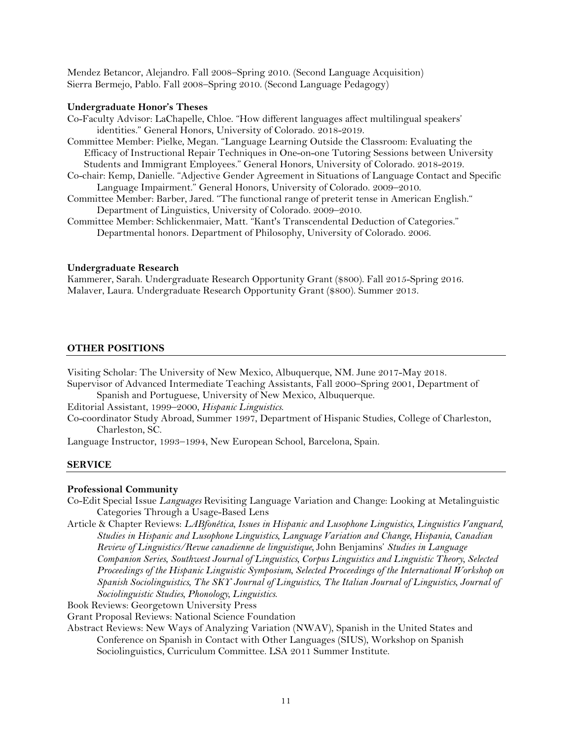Mendez Betancor, Alejandro. Fall 2008–Spring 2010. (Second Language Acquisition) Sierra Bermejo, Pablo. Fall 2008–Spring 2010. (Second Language Pedagogy)

## **Undergraduate Honor's Theses**

- Co-Faculty Advisor: LaChapelle, Chloe. "How different languages affect multilingual speakers' identities." General Honors, University of Colorado. 2018-2019.
- Committee Member: Pielke, Megan. "Language Learning Outside the Classroom: Evaluating the Efficacy of Instructional Repair Techniques in One-on-one Tutoring Sessions between University Students and Immigrant Employees." General Honors, University of Colorado. 2018-2019.
- Co-chair: Kemp, Danielle. "Adjective Gender Agreement in Situations of Language Contact and Specific Language Impairment." General Honors, University of Colorado. 2009–2010.
- Committee Member: Barber, Jared. "The functional range of preterit tense in American English." Department of Linguistics, University of Colorado. 2009–2010.
- Committee Member: Schlickenmaier, Matt. "Kant's Transcendental Deduction of Categories." Departmental honors. Department of Philosophy, University of Colorado. 2006.

#### **Undergraduate Research**

Kammerer, Sarah. Undergraduate Research Opportunity Grant (\$800). Fall 2015-Spring 2016. Malaver, Laura. Undergraduate Research Opportunity Grant (\$800). Summer 2013.

## **OTHER POSITIONS**

Visiting Scholar: The University of New Mexico, Albuquerque, NM. June 2017-May 2018. Supervisor of Advanced Intermediate Teaching Assistants, Fall 2000–Spring 2001, Department of Spanish and Portuguese, University of New Mexico, Albuquerque. Editorial Assistant, 1999–2000, *Hispanic Linguistics*.

Co-coordinator Study Abroad, Summer 1997, Department of Hispanic Studies, College of Charleston, Charleston, SC.

Language Instructor, 1993–1994, New European School, Barcelona, Spain.

## **SERVICE**

#### **Professional Community**

Co-Edit Special Issue *Languages* Revisiting Language Variation and Change: Looking at Metalinguistic Categories Through a Usage-Based Lens

Article & Chapter Reviews: *LABfonética, Issues in Hispanic and Lusophone Linguistics, Linguistics Vanguard, Studies in Hispanic and Lusophone Linguistics, Language Variation and Change, Hispania, Canadian Review of Linguistics/Revue canadienne de linguistique,* John Benjamins' *[Studies in Language](https://benjamins.com/#catalog/books/slcs)  [Companion Series](https://benjamins.com/#catalog/books/slcs)*, *Southwest Journal of Linguistics, Corpus Linguistics and Linguistic Theory, Selected Proceedings of the Hispanic Linguistic Symposium, Selected Proceedings of the International Workshop on Spanish Sociolinguistics, The SKY Journal of Linguistics*, *The Italian Journal of Linguistics, Journal of Sociolinguistic Studies, Phonology, Linguistics*.

Book Reviews: Georgetown University Press

Grant Proposal Reviews: National Science Foundation

Abstract Reviews: New Ways of Analyzing Variation (NWAV), Spanish in the United States and Conference on Spanish in Contact with Other Languages (SIUS), Workshop on Spanish Sociolinguistics, Curriculum Committee. LSA 2011 Summer Institute.